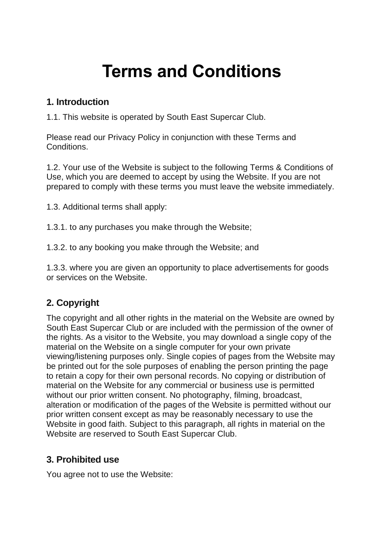# **Terms and Conditions**

#### **1. Introduction**

1.1. This website is operated by South East Supercar Club.

Please read our Privacy Policy in conjunction with these Terms and Conditions.

1.2. Your use of the Website is subject to the following Terms & Conditions of Use, which you are deemed to accept by using the Website. If you are not prepared to comply with these terms you must leave the website immediately.

1.3. Additional terms shall apply:

1.3.1. to any purchases you make through the Website;

1.3.2. to any booking you make through the Website; and

1.3.3. where you are given an opportunity to place advertisements for goods or services on the Website.

# **2. Copyright**

The copyright and all other rights in the material on the Website are owned by South East Supercar Club or are included with the permission of the owner of the rights. As a visitor to the Website, you may download a single copy of the material on the Website on a single computer for your own private viewing/listening purposes only. Single copies of pages from the Website may be printed out for the sole purposes of enabling the person printing the page to retain a copy for their own personal records. No copying or distribution of material on the Website for any commercial or business use is permitted without our prior written consent. No photography, filming, broadcast, alteration or modification of the pages of the Website is permitted without our prior written consent except as may be reasonably necessary to use the Website in good faith. Subject to this paragraph, all rights in material on the Website are reserved to South East Supercar Club.

#### **3. Prohibited use**

You agree not to use the Website: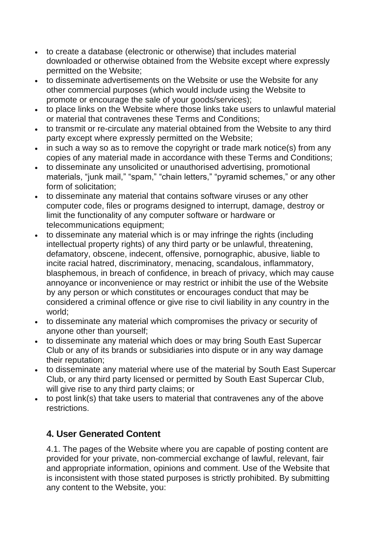- to create a database (electronic or otherwise) that includes material downloaded or otherwise obtained from the Website except where expressly permitted on the Website;
- to disseminate advertisements on the Website or use the Website for any other commercial purposes (which would include using the Website to promote or encourage the sale of your goods/services);
- to place links on the Website where those links take users to unlawful material or material that contravenes these Terms and Conditions;
- to transmit or re-circulate any material obtained from the Website to any third party except where expressly permitted on the Website;
- in such a way so as to remove the copyright or trade mark notice(s) from any copies of any material made in accordance with these Terms and Conditions;
- to disseminate any unsolicited or unauthorised advertising, promotional materials, "junk mail," "spam," "chain letters," "pyramid schemes," or any other form of solicitation;
- to disseminate any material that contains software viruses or any other computer code, files or programs designed to interrupt, damage, destroy or limit the functionality of any computer software or hardware or telecommunications equipment;
- to disseminate any material which is or may infringe the rights (including intellectual property rights) of any third party or be unlawful, threatening, defamatory, obscene, indecent, offensive, pornographic, abusive, liable to incite racial hatred, discriminatory, menacing, scandalous, inflammatory, blasphemous, in breach of confidence, in breach of privacy, which may cause annoyance or inconvenience or may restrict or inhibit the use of the Website by any person or which constitutes or encourages conduct that may be considered a criminal offence or give rise to civil liability in any country in the world;
- to disseminate any material which compromises the privacy or security of anyone other than yourself;
- to disseminate any material which does or may bring South East Supercar Club or any of its brands or subsidiaries into dispute or in any way damage their reputation;
- to disseminate any material where use of the material by South East Supercar Club, or any third party licensed or permitted by South East Supercar Club, will give rise to any third party claims; or
- to post link(s) that take users to material that contravenes any of the above restrictions.

#### **4. User Generated Content**

4.1. The pages of the Website where you are capable of posting content are provided for your private, non-commercial exchange of lawful, relevant, fair and appropriate information, opinions and comment. Use of the Website that is inconsistent with those stated purposes is strictly prohibited. By submitting any content to the Website, you: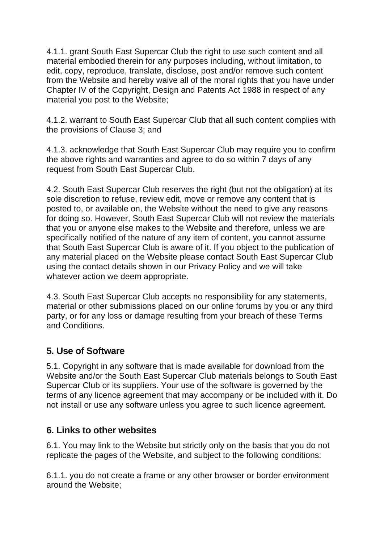4.1.1. grant South East Supercar Club the right to use such content and all material embodied therein for any purposes including, without limitation, to edit, copy, reproduce, translate, disclose, post and/or remove such content from the Website and hereby waive all of the moral rights that you have under Chapter IV of the Copyright, Design and Patents Act 1988 in respect of any material you post to the Website;

4.1.2. warrant to South East Supercar Club that all such content complies with the provisions of Clause 3; and

4.1.3. acknowledge that South East Supercar Club may require you to confirm the above rights and warranties and agree to do so within 7 days of any request from South East Supercar Club.

4.2. South East Supercar Club reserves the right (but not the obligation) at its sole discretion to refuse, review edit, move or remove any content that is posted to, or available on, the Website without the need to give any reasons for doing so. However, South East Supercar Club will not review the materials that you or anyone else makes to the Website and therefore, unless we are specifically notified of the nature of any item of content, you cannot assume that South East Supercar Club is aware of it. If you object to the publication of any material placed on the Website please contact South East Supercar Club using the contact details shown in our Privacy Policy and we will take whatever action we deem appropriate.

4.3. South East Supercar Club accepts no responsibility for any statements, material or other submissions placed on our online forums by you or any third party, or for any loss or damage resulting from your breach of these Terms and Conditions.

#### **5. Use of Software**

5.1. Copyright in any software that is made available for download from the Website and/or the South East Supercar Club materials belongs to South East Supercar Club or its suppliers. Your use of the software is governed by the terms of any licence agreement that may accompany or be included with it. Do not install or use any software unless you agree to such licence agreement.

#### **6. Links to other websites**

6.1. You may link to the Website but strictly only on the basis that you do not replicate the pages of the Website, and subject to the following conditions:

6.1.1. you do not create a frame or any other browser or border environment around the Website;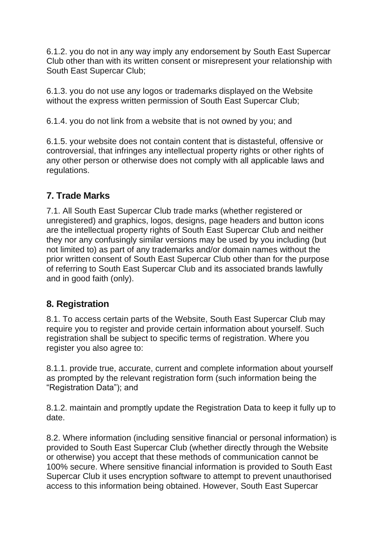6.1.2. you do not in any way imply any endorsement by South East Supercar Club other than with its written consent or misrepresent your relationship with South East Supercar Club;

6.1.3. you do not use any logos or trademarks displayed on the Website without the express written permission of South East Supercar Club;

6.1.4. you do not link from a website that is not owned by you; and

6.1.5. your website does not contain content that is distasteful, offensive or controversial, that infringes any intellectual property rights or other rights of any other person or otherwise does not comply with all applicable laws and regulations.

### **7. Trade Marks**

7.1. All South East Supercar Club trade marks (whether registered or unregistered) and graphics, logos, designs, page headers and button icons are the intellectual property rights of South East Supercar Club and neither they nor any confusingly similar versions may be used by you including (but not limited to) as part of any trademarks and/or domain names without the prior written consent of South East Supercar Club other than for the purpose of referring to South East Supercar Club and its associated brands lawfully and in good faith (only).

#### **8. Registration**

8.1. To access certain parts of the Website, South East Supercar Club may require you to register and provide certain information about yourself. Such registration shall be subject to specific terms of registration. Where you register you also agree to:

8.1.1. provide true, accurate, current and complete information about yourself as prompted by the relevant registration form (such information being the "Registration Data"); and

8.1.2. maintain and promptly update the Registration Data to keep it fully up to date.

8.2. Where information (including sensitive financial or personal information) is provided to South East Supercar Club (whether directly through the Website or otherwise) you accept that these methods of communication cannot be 100% secure. Where sensitive financial information is provided to South East Supercar Club it uses encryption software to attempt to prevent unauthorised access to this information being obtained. However, South East Supercar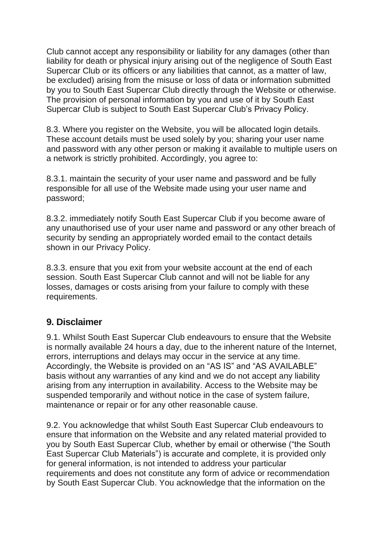Club cannot accept any responsibility or liability for any damages (other than liability for death or physical injury arising out of the negligence of South East Supercar Club or its officers or any liabilities that cannot, as a matter of law, be excluded) arising from the misuse or loss of data or information submitted by you to South East Supercar Club directly through the Website or otherwise. The provision of personal information by you and use of it by South East Supercar Club is subject to South East Supercar Club's Privacy Policy.

8.3. Where you register on the Website, you will be allocated login details. These account details must be used solely by you; sharing your user name and password with any other person or making it available to multiple users on a network is strictly prohibited. Accordingly, you agree to:

8.3.1. maintain the security of your user name and password and be fully responsible for all use of the Website made using your user name and password;

8.3.2. immediately notify South East Supercar Club if you become aware of any unauthorised use of your user name and password or any other breach of security by sending an appropriately worded email to the contact details shown in our Privacy Policy.

8.3.3. ensure that you exit from your website account at the end of each session. South East Supercar Club cannot and will not be liable for any losses, damages or costs arising from your failure to comply with these requirements.

#### **9. Disclaimer**

9.1. Whilst South East Supercar Club endeavours to ensure that the Website is normally available 24 hours a day, due to the inherent nature of the Internet, errors, interruptions and delays may occur in the service at any time. Accordingly, the Website is provided on an "AS IS" and "AS AVAILABLE" basis without any warranties of any kind and we do not accept any liability arising from any interruption in availability. Access to the Website may be suspended temporarily and without notice in the case of system failure, maintenance or repair or for any other reasonable cause.

9.2. You acknowledge that whilst South East Supercar Club endeavours to ensure that information on the Website and any related material provided to you by South East Supercar Club, whether by email or otherwise ("the South East Supercar Club Materials") is accurate and complete, it is provided only for general information, is not intended to address your particular requirements and does not constitute any form of advice or recommendation by South East Supercar Club. You acknowledge that the information on the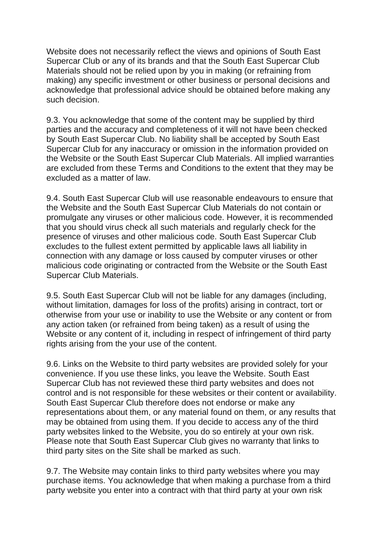Website does not necessarily reflect the views and opinions of South East Supercar Club or any of its brands and that the South East Supercar Club Materials should not be relied upon by you in making (or refraining from making) any specific investment or other business or personal decisions and acknowledge that professional advice should be obtained before making any such decision.

9.3. You acknowledge that some of the content may be supplied by third parties and the accuracy and completeness of it will not have been checked by South East Supercar Club. No liability shall be accepted by South East Supercar Club for any inaccuracy or omission in the information provided on the Website or the South East Supercar Club Materials. All implied warranties are excluded from these Terms and Conditions to the extent that they may be excluded as a matter of law.

9.4. South East Supercar Club will use reasonable endeavours to ensure that the Website and the South East Supercar Club Materials do not contain or promulgate any viruses or other malicious code. However, it is recommended that you should virus check all such materials and regularly check for the presence of viruses and other malicious code. South East Supercar Club excludes to the fullest extent permitted by applicable laws all liability in connection with any damage or loss caused by computer viruses or other malicious code originating or contracted from the Website or the South East Supercar Club Materials.

9.5. South East Supercar Club will not be liable for any damages (including, without limitation, damages for loss of the profits) arising in contract, tort or otherwise from your use or inability to use the Website or any content or from any action taken (or refrained from being taken) as a result of using the Website or any content of it, including in respect of infringement of third party rights arising from the your use of the content.

9.6. Links on the Website to third party websites are provided solely for your convenience. If you use these links, you leave the Website. South East Supercar Club has not reviewed these third party websites and does not control and is not responsible for these websites or their content or availability. South East Supercar Club therefore does not endorse or make any representations about them, or any material found on them, or any results that may be obtained from using them. If you decide to access any of the third party websites linked to the Website, you do so entirely at your own risk. Please note that South East Supercar Club gives no warranty that links to third party sites on the Site shall be marked as such.

9.7. The Website may contain links to third party websites where you may purchase items. You acknowledge that when making a purchase from a third party website you enter into a contract with that third party at your own risk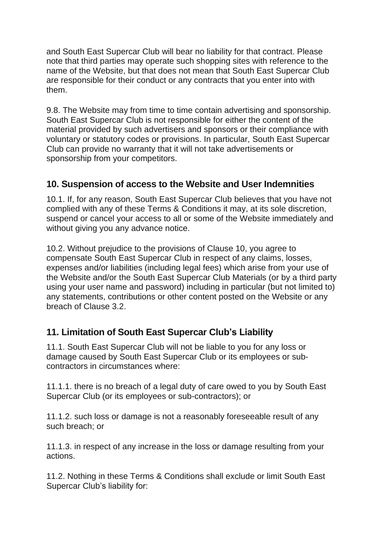and South East Supercar Club will bear no liability for that contract. Please note that third parties may operate such shopping sites with reference to the name of the Website, but that does not mean that South East Supercar Club are responsible for their conduct or any contracts that you enter into with them.

9.8. The Website may from time to time contain advertising and sponsorship. South East Supercar Club is not responsible for either the content of the material provided by such advertisers and sponsors or their compliance with voluntary or statutory codes or provisions. In particular, South East Supercar Club can provide no warranty that it will not take advertisements or sponsorship from your competitors.

#### **10. Suspension of access to the Website and User Indemnities**

10.1. If, for any reason, South East Supercar Club believes that you have not complied with any of these Terms & Conditions it may, at its sole discretion, suspend or cancel your access to all or some of the Website immediately and without giving you any advance notice.

10.2. Without prejudice to the provisions of Clause 10, you agree to compensate South East Supercar Club in respect of any claims, losses, expenses and/or liabilities (including legal fees) which arise from your use of the Website and/or the South East Supercar Club Materials (or by a third party using your user name and password) including in particular (but not limited to) any statements, contributions or other content posted on the Website or any breach of Clause 3.2.

## **11. Limitation of South East Supercar Club's Liability**

11.1. South East Supercar Club will not be liable to you for any loss or damage caused by South East Supercar Club or its employees or subcontractors in circumstances where:

11.1.1. there is no breach of a legal duty of care owed to you by South East Supercar Club (or its employees or sub-contractors); or

11.1.2. such loss or damage is not a reasonably foreseeable result of any such breach; or

11.1.3. in respect of any increase in the loss or damage resulting from your actions.

11.2. Nothing in these Terms & Conditions shall exclude or limit South East Supercar Club's liability for: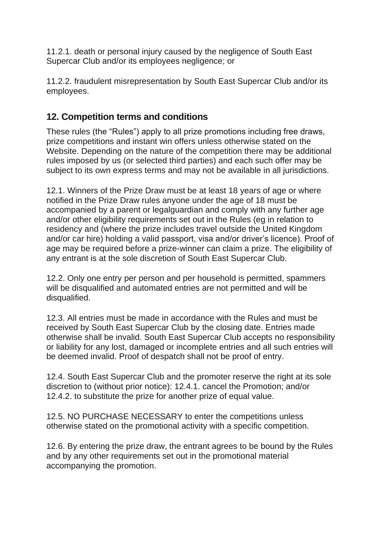11.2.1. death or personal injury caused by the negligence of South East Supercar Club and/or its employees negligence; or

11.2.2. fraudulent misrepresentation by South East Supercar Club and/or its employees.

#### **12. Competition terms and conditions**

These rules (the "Rules") apply to all prize promotions including free draws, prize competitions and instant win offers unless otherwise stated on the Website. Depending on the nature of the competition there may be additional rules imposed by us (or selected third parties) and each such offer may be subject to its own express terms and may not be available in all jurisdictions.

12.1. Winners of the Prize Draw must be at least 18 years of age or where notified in the Prize Draw rules anyone under the age of 18 must be accompanied by a parent or legalguardian and comply with any further age and/or other eligibility requirements set out in the Rules (eg in relation to residency and (where the prize includes travel outside the United Kingdom and/or car hire) holding a valid passport, visa and/or driver's licence). Proof of age may be required before a prize-winner can claim a prize. The eligibility of any entrant is at the sole discretion of South East Supercar Club.

12.2. Only one entry per person and per household is permitted, spammers will be disqualified and automated entries are not permitted and will be disqualified.

12.3. All entries must be made in accordance with the Rules and must be received by South East Supercar Club by the closing date. Entries made otherwise shall be invalid. South East Supercar Club accepts no responsibility or liability for any lost, damaged or incomplete entries and all such entries will be deemed invalid. Proof of despatch shall not be proof of entry.

12.4. South East Supercar Club and the promoter reserve the right at its sole discretion to (without prior notice): 12.4.1. cancel the Promotion; and/or 12.4.2. to substitute the prize for another prize of equal value.

12.5. NO PURCHASE NECESSARY to enter the competitions unless otherwise stated on the promotional activity with a specific competition.

12.6. By entering the prize draw, the entrant agrees to be bound by the Rules and by any other requirements set out in the promotional material accompanying the promotion.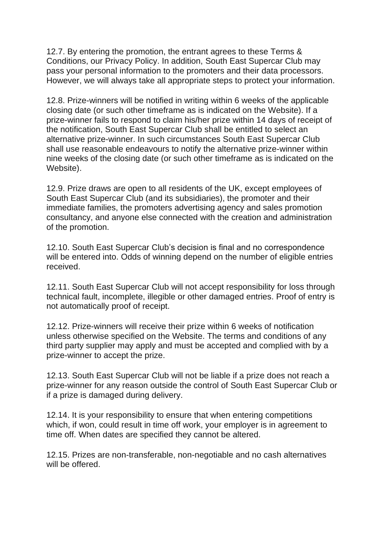12.7. By entering the promotion, the entrant agrees to these Terms & Conditions, our Privacy Policy. In addition, South East Supercar Club may pass your personal information to the promoters and their data processors. However, we will always take all appropriate steps to protect your information.

12.8. Prize-winners will be notified in writing within 6 weeks of the applicable closing date (or such other timeframe as is indicated on the Website). If a prize-winner fails to respond to claim his/her prize within 14 days of receipt of the notification, South East Supercar Club shall be entitled to select an alternative prize-winner. In such circumstances South East Supercar Club shall use reasonable endeavours to notify the alternative prize-winner within nine weeks of the closing date (or such other timeframe as is indicated on the Website).

12.9. Prize draws are open to all residents of the UK, except employees of South East Supercar Club (and its subsidiaries), the promoter and their immediate families, the promoters advertising agency and sales promotion consultancy, and anyone else connected with the creation and administration of the promotion.

12.10. South East Supercar Club's decision is final and no correspondence will be entered into. Odds of winning depend on the number of eligible entries received.

12.11. South East Supercar Club will not accept responsibility for loss through technical fault, incomplete, illegible or other damaged entries. Proof of entry is not automatically proof of receipt.

12.12. Prize-winners will receive their prize within 6 weeks of notification unless otherwise specified on the Website. The terms and conditions of any third party supplier may apply and must be accepted and complied with by a prize-winner to accept the prize.

12.13. South East Supercar Club will not be liable if a prize does not reach a prize-winner for any reason outside the control of South East Supercar Club or if a prize is damaged during delivery.

12.14. It is your responsibility to ensure that when entering competitions which, if won, could result in time off work, your employer is in agreement to time off. When dates are specified they cannot be altered.

12.15. Prizes are non-transferable, non-negotiable and no cash alternatives will be offered.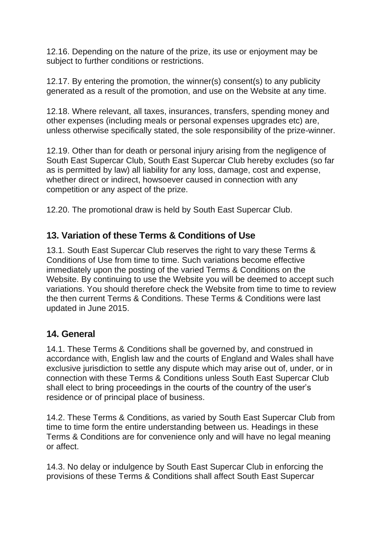12.16. Depending on the nature of the prize, its use or enjoyment may be subject to further conditions or restrictions.

12.17. By entering the promotion, the winner(s) consent(s) to any publicity generated as a result of the promotion, and use on the Website at any time.

12.18. Where relevant, all taxes, insurances, transfers, spending money and other expenses (including meals or personal expenses upgrades etc) are, unless otherwise specifically stated, the sole responsibility of the prize-winner.

12.19. Other than for death or personal injury arising from the negligence of South East Supercar Club, South East Supercar Club hereby excludes (so far as is permitted by law) all liability for any loss, damage, cost and expense, whether direct or indirect, howsoever caused in connection with any competition or any aspect of the prize.

12.20. The promotional draw is held by South East Supercar Club.

#### **13. Variation of these Terms & Conditions of Use**

13.1. South East Supercar Club reserves the right to vary these Terms & Conditions of Use from time to time. Such variations become effective immediately upon the posting of the varied Terms & Conditions on the Website. By continuing to use the Website you will be deemed to accept such variations. You should therefore check the Website from time to time to review the then current Terms & Conditions. These Terms & Conditions were last updated in June 2015.

#### **14. General**

14.1. These Terms & Conditions shall be governed by, and construed in accordance with, English law and the courts of England and Wales shall have exclusive jurisdiction to settle any dispute which may arise out of, under, or in connection with these Terms & Conditions unless South East Supercar Club shall elect to bring proceedings in the courts of the country of the user's residence or of principal place of business.

14.2. These Terms & Conditions, as varied by South East Supercar Club from time to time form the entire understanding between us. Headings in these Terms & Conditions are for convenience only and will have no legal meaning or affect.

14.3. No delay or indulgence by South East Supercar Club in enforcing the provisions of these Terms & Conditions shall affect South East Supercar